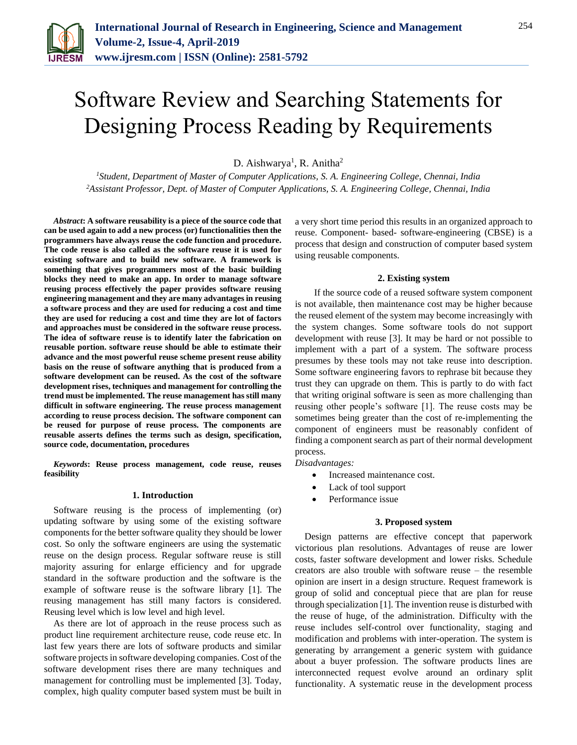

# Software Review and Searching Statements for Designing Process Reading by Requirements

D. Aishwarya<sup>1</sup>, R. Anitha<sup>2</sup>

*<sup>1</sup>Student, Department of Master of Computer Applications, S. A. Engineering College, Chennai, India <sup>2</sup>Assistant Professor, Dept. of Master of Computer Applications, S. A. Engineering College, Chennai, India*

*Abstract***: A software reusability is a piece of the source code that can be used again to add a new process (or) functionalities then the programmers have always reuse the code function and procedure. The code reuse is also called as the software reuse it is used for existing software and to build new software. A framework is something that gives programmers most of the basic building blocks they need to make an app. In order to manage software reusing process effectively the paper provides software reusing engineering management and they are many advantages in reusing a software process and they are used for reducing a cost and time they are used for reducing a cost and time they are lot of factors and approaches must be considered in the software reuse process. The idea of software reuse is to identify later the fabrication on reusable portion. software reuse should be able to estimate their advance and the most powerful reuse scheme present reuse ability basis on the reuse of software anything that is produced from a software development can be reused. As the cost of the software development rises, techniques and management for controlling the trend must be implemented. The reuse management has still many difficult in software engineering. The reuse process management according to reuse process decision. The software component can be reused for purpose of reuse process. The components are reusable asserts defines the terms such as design, specification, source code, documentation, procedures**

*Keywords***: Reuse process management, code reuse, reuses feasibility**

## **1. Introduction**

Software reusing is the process of implementing (or) updating software by using some of the existing software components for the better software quality they should be lower cost. So only the software engineers are using the systematic reuse on the design process. Regular software reuse is still majority assuring for enlarge efficiency and for upgrade standard in the software production and the software is the example of software reuse is the software library [1]. The reusing management has still many factors is considered. Reusing level which is low level and high level.

As there are lot of approach in the reuse process such as product line requirement architecture reuse, code reuse etc. In last few years there are lots of software products and similar software projects in software developing companies. Cost of the software development rises there are many techniques and management for controlling must be implemented [3]. Today, complex, high quality computer based system must be built in

a very short time period this results in an organized approach to reuse. Component- based- software-engineering (CBSE) is a process that design and construction of computer based system using reusable components.

# **2. Existing system**

If the source code of a reused software system component is not available, then maintenance cost may be higher because the reused element of the system may become increasingly with the system changes. Some software tools do not support development with reuse [3]. It may be hard or not possible to implement with a part of a system. The software process presumes by these tools may not take reuse into description. Some software engineering favors to rephrase bit because they trust they can upgrade on them. This is partly to do with fact that writing original software is seen as more challenging than reusing other people's software [1]. The reuse costs may be sometimes being greater than the cost of re-implementing the component of engineers must be reasonably confident of finding a component search as part of their normal development process.

*Disadvantages:*

- Increased maintenance cost.
- Lack of tool support
- Performance issue

#### **3. Proposed system**

Design patterns are effective concept that paperwork victorious plan resolutions. Advantages of reuse are lower costs, faster software development and lower risks. Schedule creators are also trouble with software reuse – the resemble opinion are insert in a design structure. Request framework is group of solid and conceptual piece that are plan for reuse through specialization [1]. The invention reuse is disturbed with the reuse of huge, of the administration. Difficulty with the reuse includes self-control over functionality, staging and modification and problems with inter-operation. The system is generating by arrangement a generic system with guidance about a buyer profession. The software products lines are interconnected request evolve around an ordinary split functionality. A systematic reuse in the development process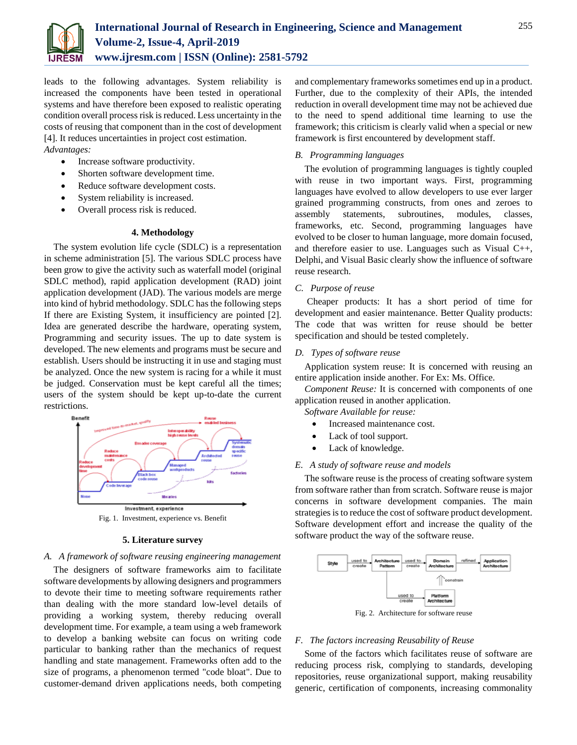

leads to the following advantages. System reliability is increased the components have been tested in operational systems and have therefore been exposed to realistic operating condition overall process risk is reduced. Less uncertainty in the costs of reusing that component than in the cost of development [4]. It reduces uncertainties in project cost estimation. *Advantages:*

- Increase software productivity.
- Shorten software development time.
- Reduce software development costs.
- System reliability is increased.
- Overall process risk is reduced.

## **4. Methodology**

The system evolution life cycle (SDLC) is a representation in scheme administration [5]. The various SDLC process have been grow to give the activity such as waterfall model (original SDLC method), rapid application development (RAD) joint application development (JAD). The various models are merge into kind of hybrid methodology. SDLC has the following steps If there are Existing System, it insufficiency are pointed [2]. Idea are generated describe the hardware, operating system, Programming and security issues. The up to date system is developed. The new elements and programs must be secure and establish. Users should be instructing it in use and staging must be analyzed. Once the new system is racing for a while it must be judged. Conservation must be kept careful all the times; users of the system should be kept up-to-date the current restrictions.



# **5. Literature survey**

# *A. A framework of software reusing engineering management*

The designers of software frameworks aim to facilitate software developments by allowing designers and programmers to devote their time to meeting software requirements rather than dealing with the more standard low-level details of providing a working system, thereby reducing overall development time. For example, a team using a web framework to develop a banking website can focus on writing code particular to banking rather than the mechanics of request handling and state management. Frameworks often add to the size of programs, a phenomenon termed "code bloat". Due to customer-demand driven applications needs, both competing and complementary frameworks sometimes end up in a product. Further, due to the complexity of their APIs, the intended reduction in overall development time may not be achieved due to the need to spend additional time learning to use the framework; this criticism is clearly valid when a special or new framework is first encountered by development staff.

# *B. Programming languages*

The evolution of programming languages is tightly coupled with reuse in two important ways. First, programming languages have evolved to allow developers to use ever larger grained programming constructs, from ones and zeroes to assembly statements, subroutines, modules, classes, frameworks, etc. Second, programming languages have evolved to be closer to human language, more domain focused, and therefore easier to use. Languages such as Visual C++, Delphi, and Visual Basic clearly show the influence of software reuse research.

# *C. Purpose of reuse*

Cheaper products: It has a short period of time for development and easier maintenance. Better Quality products: The code that was written for reuse should be better specification and should be tested completely.

## *D. Types of software reuse*

Application system reuse: It is concerned with reusing an entire application inside another. For Ex: Ms. Office.

*Component Reuse:* It is concerned with components of one application reused in another application.

- *Software Available for reuse:*
	- Increased maintenance cost.
	- Lack of tool support.
	- Lack of knowledge.

### *E. A study of software reuse and models*

The software reuse is the process of creating software system from software rather than from scratch. Software reuse is major concerns in software development companies. The main strategies isto reduce the cost of software product development. Software development effort and increase the quality of the software product the way of the software reuse.



Fig. 2. Architecture for software reuse

### *F. The factors increasing Reusability of Reuse*

Some of the factors which facilitates reuse of software are reducing process risk, complying to standards, developing repositories, reuse organizational support, making reusability generic, certification of components, increasing commonality